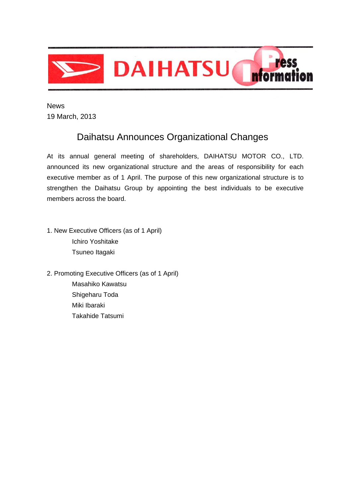

 News 19 March, 2013

# Daihatsu Announces Organizational Changes

At its annual general meeting of shareholders, DAIHATSU MOTOR CO., LTD. announced its new organizational structure and the areas of responsibility for each executive member as of 1 April. The purpose of this new organizational structure is to strengthen the Daihatsu Group by appointing the best individuals to be executive members across the board.

- 1. New Executive Officers (as of 1 April) Ichiro Yoshitake Tsuneo Itagaki
- 2. Promoting Executive Officers (as of 1 April) Masahiko Kawatsu Shigeharu Toda Miki Ibaraki Takahide Tatsumi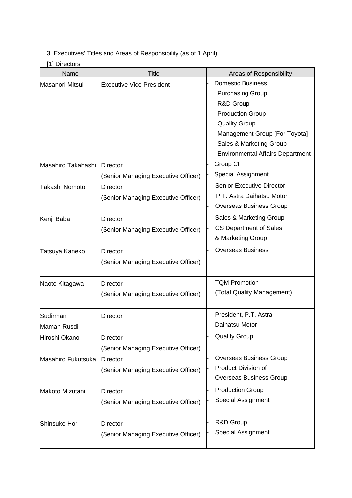## 3. Executives' Titles and Areas of Responsibility (as of 1 April)

## [1] Directors

| Name               | <b>Title</b>                        | Areas of Responsibility                 |
|--------------------|-------------------------------------|-----------------------------------------|
| Masanori Mitsui    | <b>Executive Vice President</b>     | <b>Domestic Business</b>                |
|                    |                                     | <b>Purchasing Group</b>                 |
|                    |                                     | R&D Group                               |
|                    |                                     | <b>Production Group</b>                 |
|                    |                                     | <b>Quality Group</b>                    |
|                    |                                     | Management Group [For Toyota]           |
|                    |                                     | Sales & Marketing Group                 |
|                    |                                     | <b>Environmental Affairs Department</b> |
| Masahiro Takahashi | <b>Director</b>                     | Group CF                                |
|                    | (Senior Managing Executive Officer) | Special Assignment                      |
| Takashi Nomoto     | <b>Director</b>                     | Senior Executive Director,              |
|                    | (Senior Managing Executive Officer) | P.T. Astra Daihatsu Motor               |
|                    |                                     | <b>Overseas Business Group</b>          |
| Kenji Baba         | Director                            | Sales & Marketing Group                 |
|                    | (Senior Managing Executive Officer) | <b>CS Department of Sales</b>           |
|                    |                                     | & Marketing Group                       |
| Tatsuya Kaneko     | <b>Director</b>                     | <b>Overseas Business</b>                |
|                    | Senior Managing Executive Officer)  |                                         |
|                    |                                     |                                         |
| Naoto Kitagawa     | <b>Director</b>                     | <b>TQM Promotion</b>                    |
|                    | (Senior Managing Executive Officer) | (Total Quality Management)              |
|                    |                                     |                                         |
| Sudirman           | <b>Director</b>                     | President, P.T. Astra                   |
| Maman Rusdi        |                                     | Daihatsu Motor                          |
| Hiroshi Okano      | <b>Director</b>                     | <b>Quality Group</b>                    |
|                    | (Senior Managing Executive Officer) |                                         |
| Masahiro Fukutsuka | <b>Director</b>                     | <b>Overseas Business Group</b>          |
|                    | (Senior Managing Executive Officer) | Product Division of                     |
|                    |                                     | <b>Overseas Business Group</b>          |
| Makoto Mizutani    | <b>Director</b>                     | <b>Production Group</b>                 |
|                    | (Senior Managing Executive Officer) | Special Assignment                      |
|                    |                                     |                                         |
| Shinsuke Hori      | <b>Director</b>                     | R&D Group                               |
|                    | (Senior Managing Executive Officer) | <b>Special Assignment</b>               |
|                    |                                     |                                         |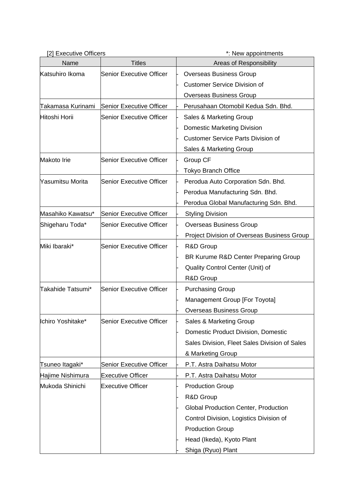| [2] Executive Officers |                                 | *: New appointments                           |
|------------------------|---------------------------------|-----------------------------------------------|
| Name                   | <b>Titles</b>                   | Areas of Responsibility                       |
| Katsuhiro Ikoma        | <b>Senior Executive Officer</b> | <b>Overseas Business Group</b>                |
|                        |                                 | <b>Customer Service Division of</b>           |
|                        |                                 | Overseas Business Group                       |
| Takamasa Kurinami      | Senior Executive Officer        | Perusahaan Otomobil Kedua Sdn. Bhd.           |
| Hitoshi Horii          | Senior Executive Officer        | Sales & Marketing Group                       |
|                        |                                 | <b>Domestic Marketing Division</b>            |
|                        |                                 | <b>Customer Service Parts Division of</b>     |
|                        |                                 | Sales & Marketing Group                       |
| Makoto Irie            | <b>Senior Executive Officer</b> | Group CF                                      |
|                        |                                 | <b>Tokyo Branch Office</b>                    |
| Yasumitsu Morita       | <b>Senior Executive Officer</b> | Perodua Auto Corporation Sdn. Bhd.            |
|                        |                                 | Perodua Manufacturing Sdn. Bhd.               |
|                        |                                 | Perodua Global Manufacturing Sdn. Bhd.        |
| Masahiko Kawatsu*      | Senior Executive Officer        | <b>Styling Division</b>                       |
| Shigeharu Toda*        | <b>Senior Executive Officer</b> | <b>Overseas Business Group</b>                |
|                        |                                 | Project Division of Overseas Business Group   |
| Miki Ibaraki*          | <b>Senior Executive Officer</b> | R&D Group                                     |
|                        |                                 | BR Kurume R&D Center Preparing Group          |
|                        |                                 | Quality Control Center (Unit) of              |
|                        |                                 | R&D Group                                     |
| Takahide Tatsumi*      | Senior Executive Officer        | <b>Purchasing Group</b>                       |
|                        |                                 | Management Group [For Toyota]                 |
|                        |                                 | <b>Overseas Business Group</b>                |
| Ichiro Yoshitake*      | <b>Senior Executive Officer</b> | Sales & Marketing Group                       |
|                        |                                 | Domestic Product Division, Domestic           |
|                        |                                 | Sales Division, Fleet Sales Division of Sales |
|                        |                                 | & Marketing Group                             |
| Tsuneo Itagaki*        | <b>Senior Executive Officer</b> | P.T. Astra Daihatsu Motor                     |
| Hajime Nishimura       | <b>Executive Officer</b>        | P.T. Astra Daihatsu Motor                     |
| Mukoda Shinichi        | <b>Executive Officer</b>        | <b>Production Group</b>                       |
|                        |                                 | R&D Group                                     |
|                        |                                 | Global Production Center, Production          |
|                        |                                 | Control Division, Logistics Division of       |
|                        |                                 | <b>Production Group</b>                       |
|                        |                                 | Head (Ikeda), Kyoto Plant                     |
|                        |                                 | Shiga (Ryuo) Plant                            |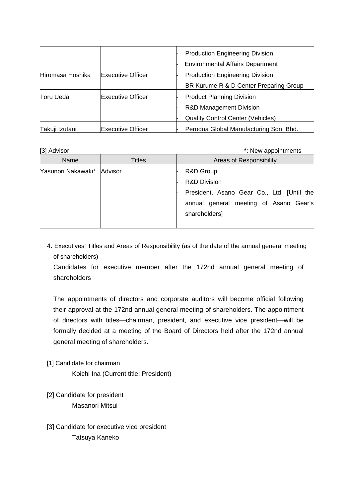|                  |                          | <b>Production Engineering Division</b><br><b>Environmental Affairs Department</b> |
|------------------|--------------------------|-----------------------------------------------------------------------------------|
| Hiromasa Hoshika | <b>Executive Officer</b> | <b>Production Engineering Division</b>                                            |
|                  |                          | BR Kurume R & D Center Preparing Group                                            |
| Toru Ueda        | <b>Executive Officer</b> | <b>Product Planning Division</b>                                                  |
|                  |                          | <b>R&amp;D Management Division</b>                                                |
|                  |                          | <b>Quality Control Center (Vehicles)</b>                                          |
| Takuji Izutani   | <b>Executive Officer</b> | Perodua Global Manufacturing Sdn. Bhd.                                            |

[3] Advisor  $\ddot{\hspace{1cm}}$  [3] Advisor

| Name                       | Titles | Areas of Responsibility                                                                                                                       |
|----------------------------|--------|-----------------------------------------------------------------------------------------------------------------------------------------------|
| Yasunori Nakawaki* Advisor |        | R&D Group<br><b>R&amp;D Division</b><br>President, Asano Gear Co., Ltd. [Until the<br>annual general meeting of Asano Gear's<br>shareholders] |

4. Executives' Titles and Areas of Responsibility (as of the date of the annual general meeting of shareholders)

Candidates for executive member after the 172nd annual general meeting of shareholders

The appointments of directors and corporate auditors will become official following their approval at the 172nd annual general meeting of shareholders. The appointment of directors with titles—chairman, president, and executive vice president—will be formally decided at a meeting of the Board of Directors held after the 172nd annual general meeting of shareholders.

[1] Candidate for chairman

Koichi Ina (Current title: President)

- [2] Candidate for president Masanori Mitsui
- [3] Candidate for executive vice president Tatsuya Kaneko